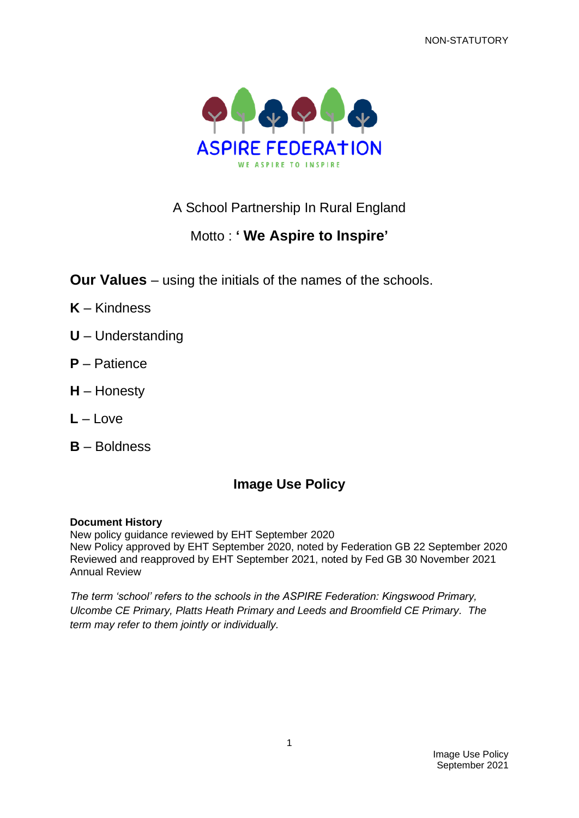NON-STATUTORY



# A School Partnership In Rural England

# Motto : **' We Aspire to Inspire'**

**Our Values** – using the initials of the names of the schools.

- **K** Kindness
- **U** Understanding
- **P** Patience
- **H** Honesty
- **L** Love
- **B** Boldness

# **Image Use Policy**

# **Document History**

New policy guidance reviewed by EHT September 2020 New Policy approved by EHT September 2020, noted by Federation GB 22 September 2020 Reviewed and reapproved by EHT September 2021, noted by Fed GB 30 November 2021 Annual Review

*The term 'school' refers to the schools in the ASPIRE Federation: Kingswood Primary, Ulcombe CE Primary, Platts Heath Primary and Leeds and Broomfield CE Primary. The term may refer to them jointly or individually.*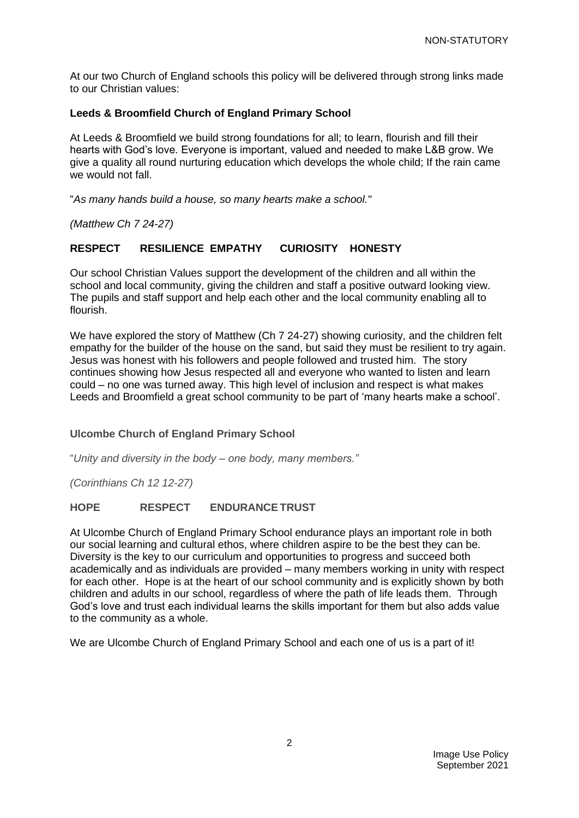At our two Church of England schools this policy will be delivered through strong links made to our Christian values:

# **Leeds & Broomfield Church of England Primary School**

At Leeds & Broomfield we build strong foundations for all; to learn, flourish and fill their hearts with God's love. Everyone is important, valued and needed to make L&B grow. We give a quality all round nurturing education which develops the whole child; If the rain came we would not fall.

"*As many hands build a house, so many hearts make a school."*

*(Matthew Ch 7 24-27)*

# **RESPECT RESILIENCE EMPATHY CURIOSITY HONESTY**

Our school Christian Values support the development of the children and all within the school and local community, giving the children and staff a positive outward looking view. The pupils and staff support and help each other and the local community enabling all to flourish.

We have explored the story of Matthew (Ch 7 24-27) showing curiosity, and the children felt empathy for the builder of the house on the sand, but said they must be resilient to try again. Jesus was honest with his followers and people followed and trusted him. The story continues showing how Jesus respected all and everyone who wanted to listen and learn could – no one was turned away. This high level of inclusion and respect is what makes Leeds and Broomfield a great school community to be part of 'many hearts make a school'.

# **Ulcombe Church of England Primary School**

"*Unity and diversity in the body – one body, many members."*

*(Corinthians Ch 12 12-27)*

# **HOPE RESPECT ENDURANCETRUST**

At Ulcombe Church of England Primary School endurance plays an important role in both our social learning and cultural ethos, where children aspire to be the best they can be. Diversity is the key to our curriculum and opportunities to progress and succeed both academically and as individuals are provided – many members working in unity with respect for each other. Hope is at the heart of our school community and is explicitly shown by both children and adults in our school, regardless of where the path of life leads them. Through God's love and trust each individual learns the skills important for them but also adds value to the community as a whole.

We are Ulcombe Church of England Primary School and each one of us is a part of it!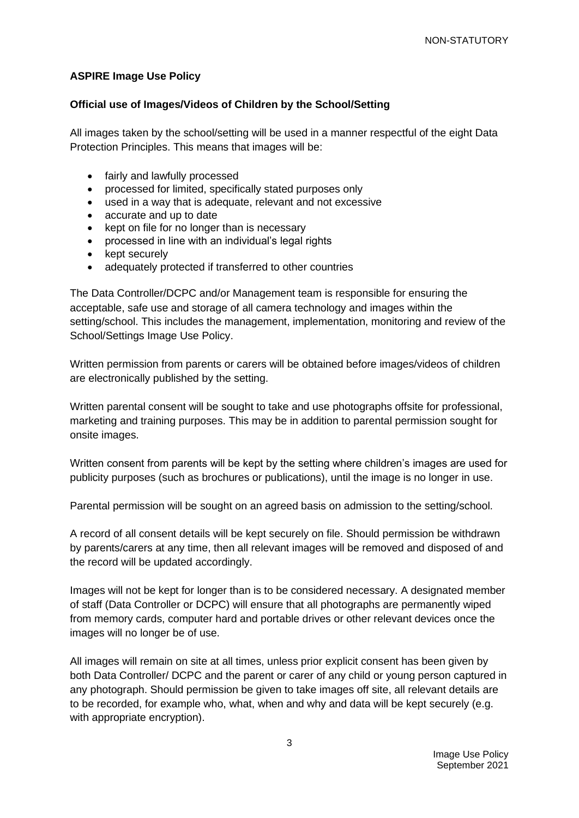# **ASPIRE Image Use Policy**

# **Official use of Images/Videos of Children by the School/Setting**

All images taken by the school/setting will be used in a manner respectful of the eight Data Protection Principles. This means that images will be:

- fairly and lawfully processed
- processed for limited, specifically stated purposes only
- used in a way that is adequate, relevant and not excessive
- accurate and up to date
- kept on file for no longer than is necessary
- processed in line with an individual's legal rights
- kept securely
- adequately protected if transferred to other countries

The Data Controller/DCPC and/or Management team is responsible for ensuring the acceptable, safe use and storage of all camera technology and images within the setting/school. This includes the management, implementation, monitoring and review of the School/Settings Image Use Policy.

Written permission from parents or carers will be obtained before images/videos of children are electronically published by the setting.

Written parental consent will be sought to take and use photographs offsite for professional, marketing and training purposes. This may be in addition to parental permission sought for onsite images.

Written consent from parents will be kept by the setting where children's images are used for publicity purposes (such as brochures or publications), until the image is no longer in use.

Parental permission will be sought on an agreed basis on admission to the setting/school.

A record of all consent details will be kept securely on file. Should permission be withdrawn by parents/carers at any time, then all relevant images will be removed and disposed of and the record will be updated accordingly.

Images will not be kept for longer than is to be considered necessary. A designated member of staff (Data Controller or DCPC) will ensure that all photographs are permanently wiped from memory cards, computer hard and portable drives or other relevant devices once the images will no longer be of use.

All images will remain on site at all times, unless prior explicit consent has been given by both Data Controller/ DCPC and the parent or carer of any child or young person captured in any photograph. Should permission be given to take images off site, all relevant details are to be recorded, for example who, what, when and why and data will be kept securely (e.g. with appropriate encryption).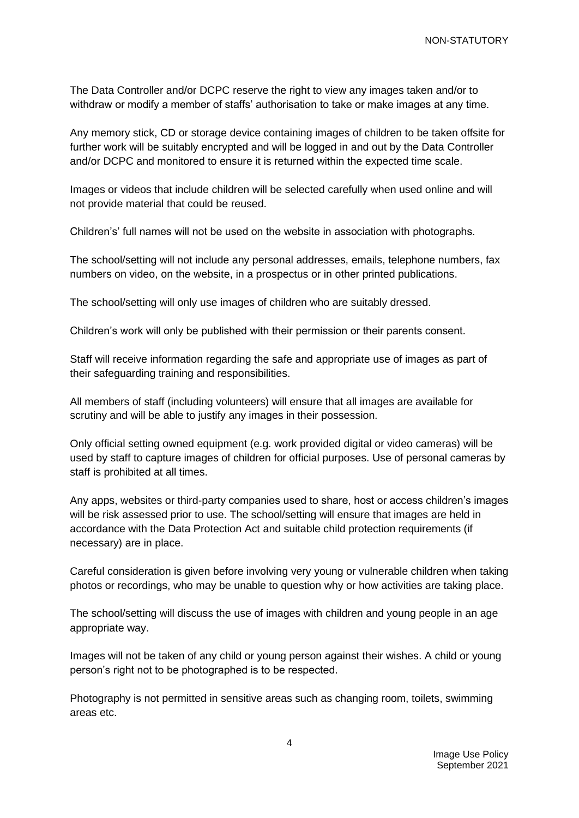The Data Controller and/or DCPC reserve the right to view any images taken and/or to withdraw or modify a member of staffs' authorisation to take or make images at any time.

Any memory stick, CD or storage device containing images of children to be taken offsite for further work will be suitably encrypted and will be logged in and out by the Data Controller and/or DCPC and monitored to ensure it is returned within the expected time scale.

Images or videos that include children will be selected carefully when used online and will not provide material that could be reused.

Children's' full names will not be used on the website in association with photographs.

The school/setting will not include any personal addresses, emails, telephone numbers, fax numbers on video, on the website, in a prospectus or in other printed publications.

The school/setting will only use images of children who are suitably dressed.

Children's work will only be published with their permission or their parents consent.

Staff will receive information regarding the safe and appropriate use of images as part of their safeguarding training and responsibilities.

All members of staff (including volunteers) will ensure that all images are available for scrutiny and will be able to justify any images in their possession.

Only official setting owned equipment (e.g. work provided digital or video cameras) will be used by staff to capture images of children for official purposes. Use of personal cameras by staff is prohibited at all times.

Any apps, websites or third-party companies used to share, host or access children's images will be risk assessed prior to use. The school/setting will ensure that images are held in accordance with the Data Protection Act and suitable child protection requirements (if necessary) are in place.

Careful consideration is given before involving very young or vulnerable children when taking photos or recordings, who may be unable to question why or how activities are taking place.

The school/setting will discuss the use of images with children and young people in an age appropriate way.

Images will not be taken of any child or young person against their wishes. A child or young person's right not to be photographed is to be respected.

Photography is not permitted in sensitive areas such as changing room, toilets, swimming areas etc.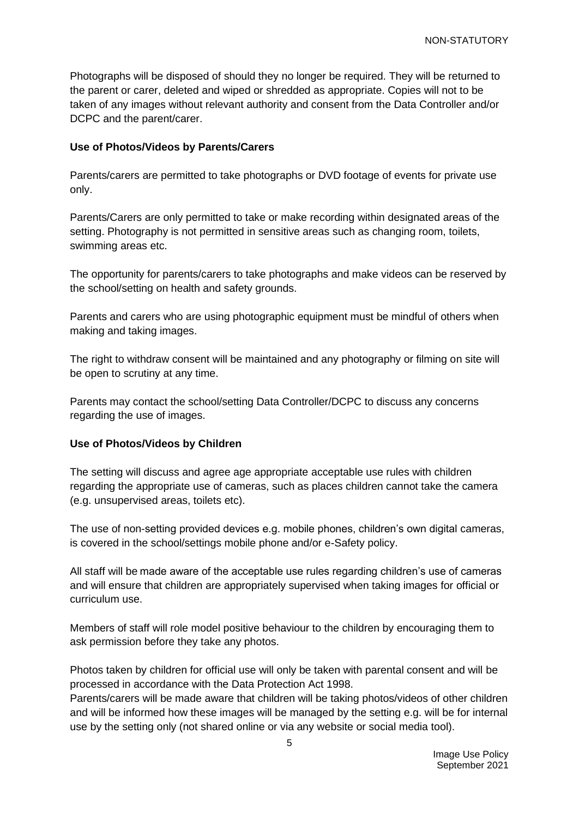Photographs will be disposed of should they no longer be required. They will be returned to the parent or carer, deleted and wiped or shredded as appropriate. Copies will not to be taken of any images without relevant authority and consent from the Data Controller and/or DCPC and the parent/carer.

# **Use of Photos/Videos by Parents/Carers**

Parents/carers are permitted to take photographs or DVD footage of events for private use only.

Parents/Carers are only permitted to take or make recording within designated areas of the setting. Photography is not permitted in sensitive areas such as changing room, toilets, swimming areas etc.

The opportunity for parents/carers to take photographs and make videos can be reserved by the school/setting on health and safety grounds.

Parents and carers who are using photographic equipment must be mindful of others when making and taking images.

The right to withdraw consent will be maintained and any photography or filming on site will be open to scrutiny at any time.

Parents may contact the school/setting Data Controller/DCPC to discuss any concerns regarding the use of images.

# **Use of Photos/Videos by Children**

The setting will discuss and agree age appropriate acceptable use rules with children regarding the appropriate use of cameras, such as places children cannot take the camera (e.g. unsupervised areas, toilets etc).

The use of non-setting provided devices e.g. mobile phones, children's own digital cameras, is covered in the school/settings mobile phone and/or e-Safety policy.

All staff will be made aware of the acceptable use rules regarding children's use of cameras and will ensure that children are appropriately supervised when taking images for official or curriculum use.

Members of staff will role model positive behaviour to the children by encouraging them to ask permission before they take any photos.

Photos taken by children for official use will only be taken with parental consent and will be processed in accordance with the Data Protection Act 1998.

Parents/carers will be made aware that children will be taking photos/videos of other children and will be informed how these images will be managed by the setting e.g. will be for internal use by the setting only (not shared online or via any website or social media tool).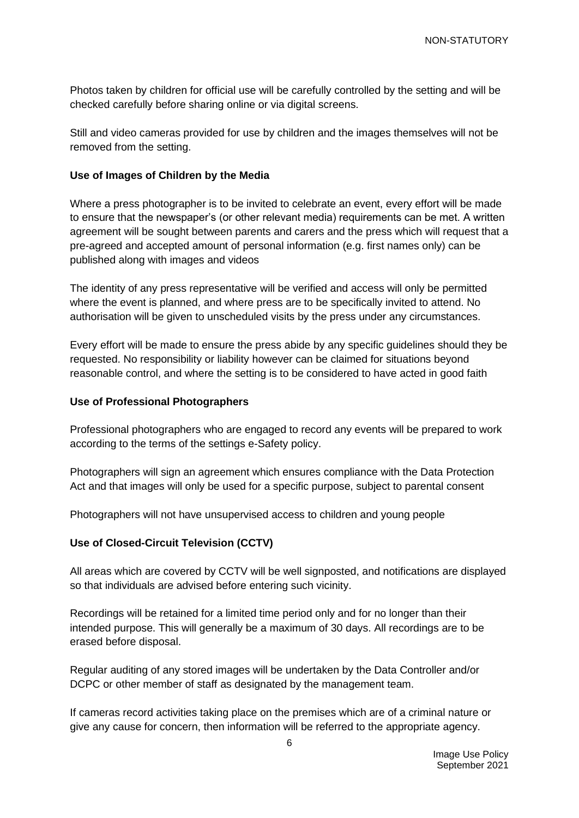Photos taken by children for official use will be carefully controlled by the setting and will be checked carefully before sharing online or via digital screens.

Still and video cameras provided for use by children and the images themselves will not be removed from the setting.

#### **Use of Images of Children by the Media**

Where a press photographer is to be invited to celebrate an event, every effort will be made to ensure that the newspaper's (or other relevant media) requirements can be met. A written agreement will be sought between parents and carers and the press which will request that a pre-agreed and accepted amount of personal information (e.g. first names only) can be published along with images and videos

The identity of any press representative will be verified and access will only be permitted where the event is planned, and where press are to be specifically invited to attend. No authorisation will be given to unscheduled visits by the press under any circumstances.

Every effort will be made to ensure the press abide by any specific guidelines should they be requested. No responsibility or liability however can be claimed for situations beyond reasonable control, and where the setting is to be considered to have acted in good faith

#### **Use of Professional Photographers**

Professional photographers who are engaged to record any events will be prepared to work according to the terms of the settings e-Safety policy.

Photographers will sign an agreement which ensures compliance with the Data Protection Act and that images will only be used for a specific purpose, subject to parental consent

Photographers will not have unsupervised access to children and young people

# **Use of Closed-Circuit Television (CCTV)**

All areas which are covered by CCTV will be well signposted, and notifications are displayed so that individuals are advised before entering such vicinity.

Recordings will be retained for a limited time period only and for no longer than their intended purpose. This will generally be a maximum of 30 days. All recordings are to be erased before disposal.

Regular auditing of any stored images will be undertaken by the Data Controller and/or DCPC or other member of staff as designated by the management team.

If cameras record activities taking place on the premises which are of a criminal nature or give any cause for concern, then information will be referred to the appropriate agency.